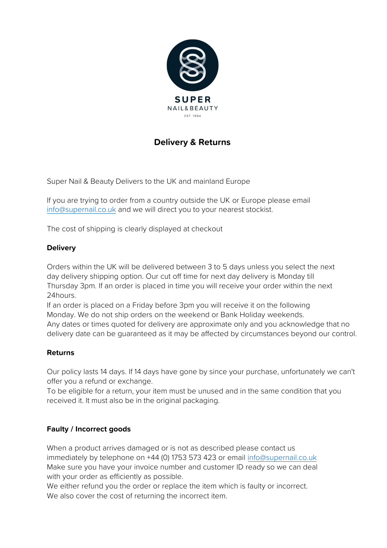

# **Delivery & Returns**

Super Nail & Beauty Delivers to the UK and mainland Europe

If you are trying to order from a country outside the UK or Europe please email [info@supernail.co.uk](mailto:info@zoyapolish.co.uk) and we will direct you to your nearest stockist.

The cost of shipping is clearly displayed at checkout

### **Delivery**

Orders within the UK will be delivered between 3 to 5 days unless you select the next day delivery shipping option. Our cut off time for next day delivery is Monday till Thursday 3pm. If an order is placed in time you will receive your order within the next 24hours.

If an order is placed on a Friday before 3pm you will receive it on the following Monday. We do not ship orders on the weekend or Bank Holiday weekends.

Any dates or times quoted for delivery are approximate only and you acknowledge that no delivery date can be guaranteed as it may be affected by circumstances beyond our control.

#### **Returns**

Our policy lasts 14 days. If 14 days have gone by since your purchase, unfortunately we can't offer you a refund or exchange.

To be eligible for a return, your item must be unused and in the same condition that you received it. It must also be in the original packaging.

#### **Faulty / Incorrect goods**

When a product arrives damaged or is not as described please contact us immediately by telephone on +44 (0) 175[3 573 423 or email](mailto:info@zoyapolish.co.uk) info@supernail.co.uk Make sure you have your invoice number and customer ID ready so we can deal with your order as efficiently as possible.

We either refund you the order or replace the item which is faulty or incorrect. We also cover the cost of returning the incorrect item.